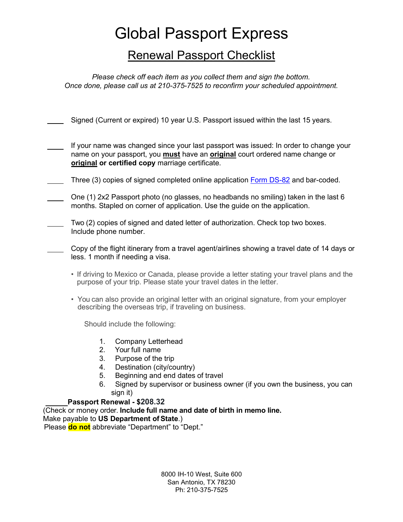## Global Passport Express

### Renewal Passport Checklist

*Please check off each item as you collect them and sign the bottom. Once done, please call us at 210-375-7525 to reconfirm your scheduled appointment.*

Signed (Current or expired) 10 year U.S. Passport issued within the last 15 years.

- If your name was changed since your last passport was issued: In order to change your name on your passport, you **must** have an **original** court ordered name change or **original or certified copy** marriage certificate.
- Three (3) copies of signed completed online application [Form DS-82](https://pptform.state.gov/?Submit2=COMPLETE+FORM+DS-11+ONLINE) and bar-coded.
- One (1) 2x2 Passport photo (no glasses, no headbands no smiling) taken in the last 6 months. Stapled on corner of application. Use the guide on the application.
	- Two (2) copies of signed and dated letter of authorization. Check top two boxes. Include phone number.
	- Copy of the flight itinerary from a travel agent/airlines showing a travel date of 14 days or less. 1 month if needing a visa.
		- If driving to Mexico or Canada, please provide a letter stating your travel plans and the purpose of your trip. Please state your travel dates in the letter.
		- You can also provide an original letter with an original signature, from your employer describing the overseas trip, if traveling on business.

Should include the following:

- 1. Company Letterhead
- 2. Your full name
- 3. Purpose of the trip
- 4. Destination (city/country)
- 5. Beginning and end dates of travel
- 6. Signed by supervisor or business owner (if you own the business, you can sign it)

#### **Passport Renewal - \$208.32**

(Check or money order. **Include full name and date of birth in memo line.** 

Make payable to **US Department of State**.)

Please **do not** abbreviate "Department" to "Dept."

8000 IH-10 West, Suite 600 San Antonio, TX 78230 Ph: 210-375-7525